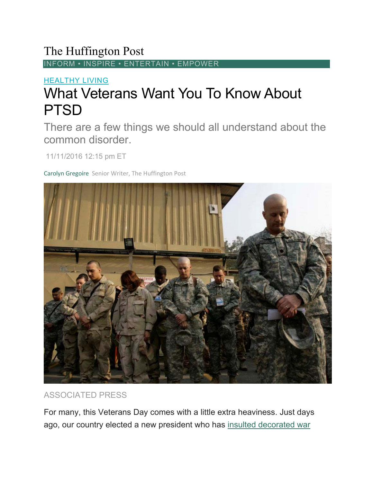# The Huffington Post

INFORM • INSPIRE • ENTERTAIN • EMPOWER

## HEALTHY LIVING

# What Veterans Want You To Know About **PTSD**

There are a few things we should all understand about the common disorder.

11/11/2016 12:15 pm ET

Carolyn Gregoire Senior Writer, The Huffington Post



### ASSOCIATED PRESS

For many, this Veterans Day comes with a little extra heaviness. Just days ago, our country elected a new president who has insulted decorated war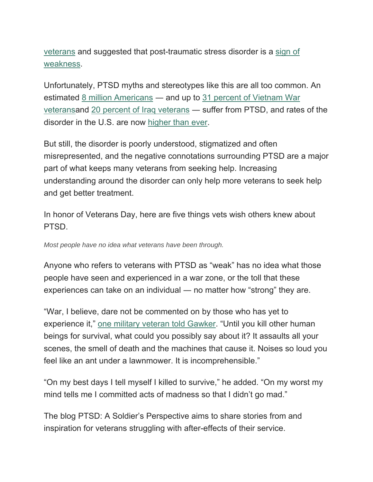veterans and suggested that post-traumatic stress disorder is a sign of weakness.

Unfortunately, PTSD myths and stereotypes like this are all too common. An estimated 8 million Americans ― and up to 31 percent of Vietnam War veteransand 20 percent of Iraq veterans ― suffer from PTSD, and rates of the disorder in the U.S. are now higher than ever.

But still, the disorder is poorly understood, stigmatized and often misrepresented, and the negative connotations surrounding PTSD are a major part of what keeps many veterans from seeking help. Increasing understanding around the disorder can only help more veterans to seek help and get better treatment.

In honor of Veterans Day, here are five things vets wish others knew about PTSD.

*Most people have no idea what veterans have been through.*

Anyone who refers to veterans with PTSD as "weak" has no idea what those people have seen and experienced in a war zone, or the toll that these experiences can take on an individual ― no matter how "strong" they are.

"War, I believe, dare not be commented on by those who has yet to experience it," one military veteran told Gawker. "Until you kill other human beings for survival, what could you possibly say about it? It assaults all your scenes, the smell of death and the machines that cause it. Noises so loud you feel like an ant under a lawnmower. It is incomprehensible."

"On my best days I tell myself I killed to survive," he added. "On my worst my mind tells me I committed acts of madness so that I didn't go mad."

The blog PTSD: A Soldier's Perspective aims to share stories from and inspiration for veterans struggling with after-effects of their service.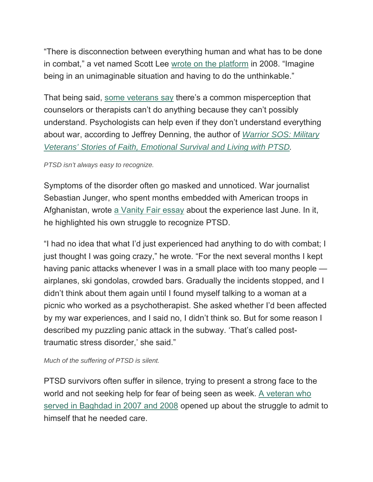"There is disconnection between everything human and what has to be done in combat," a vet named Scott Lee wrote on the platform in 2008. "Imagine being in an unimaginable situation and having to do the unthinkable."

That being said, some veterans say there's a common misperception that counselors or therapists can't do anything because they can't possibly understand. Psychologists can help even if they don't understand everything about war, according to Jeffrey Denning, the author of *Warrior SOS: Military Veterans' Stories of Faith, Emotional Survival and Living with PTSD.*

#### *PTSD isn't always easy to recognize.*

Symptoms of the disorder often go masked and unnoticed. War journalist Sebastian Junger, who spent months embedded with American troops in Afghanistan, wrote a Vanity Fair essay about the experience last June. In it, he highlighted his own struggle to recognize PTSD.

"I had no idea that what I'd just experienced had anything to do with combat; I just thought I was going crazy," he wrote. "For the next several months I kept having panic attacks whenever I was in a small place with too many people airplanes, ski gondolas, crowded bars. Gradually the incidents stopped, and I didn't think about them again until I found myself talking to a woman at a picnic who worked as a psychotherapist. She asked whether I'd been affected by my war experiences, and I said no, I didn't think so. But for some reason I described my puzzling panic attack in the subway. 'That's called posttraumatic stress disorder,' she said."

#### *Much of the suffering of PTSD is silent.*

PTSD survivors often suffer in silence, trying to present a strong face to the world and not seeking help for fear of being seen as week. A veteran who served in Baghdad in 2007 and 2008 opened up about the struggle to admit to himself that he needed care.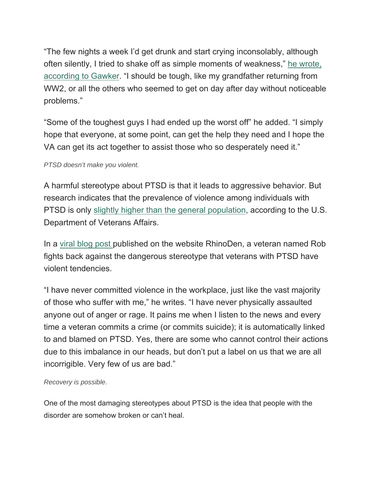"The few nights a week I'd get drunk and start crying inconsolably, although often silently, I tried to shake off as simple moments of weakness," he wrote, according to Gawker. "I should be tough, like my grandfather returning from WW2, or all the others who seemed to get on day after day without noticeable problems."

"Some of the toughest guys I had ended up the worst off" he added. "I simply hope that everyone, at some point, can get the help they need and I hope the VA can get its act together to assist those who so desperately need it."

#### *PTSD doesn't make you violent.*

A harmful stereotype about PTSD is that it leads to aggressive behavior. But research indicates that the prevalence of violence among individuals with PTSD is only slightly higher than the general population, according to the U.S. Department of Veterans Affairs.

In a viral blog post published on the website RhinoDen, a veteran named Rob fights back against the dangerous stereotype that veterans with PTSD have violent tendencies.

"I have never committed violence in the workplace, just like the vast majority of those who suffer with me," he writes. "I have never physically assaulted anyone out of anger or rage. It pains me when I listen to the news and every time a veteran commits a crime (or commits suicide); it is automatically linked to and blamed on PTSD. Yes, there are some who cannot control their actions due to this imbalance in our heads, but don't put a label on us that we are all incorrigible. Very few of us are bad."

#### *Recovery is possible.*

One of the most damaging stereotypes about PTSD is the idea that people with the disorder are somehow broken or can't heal.